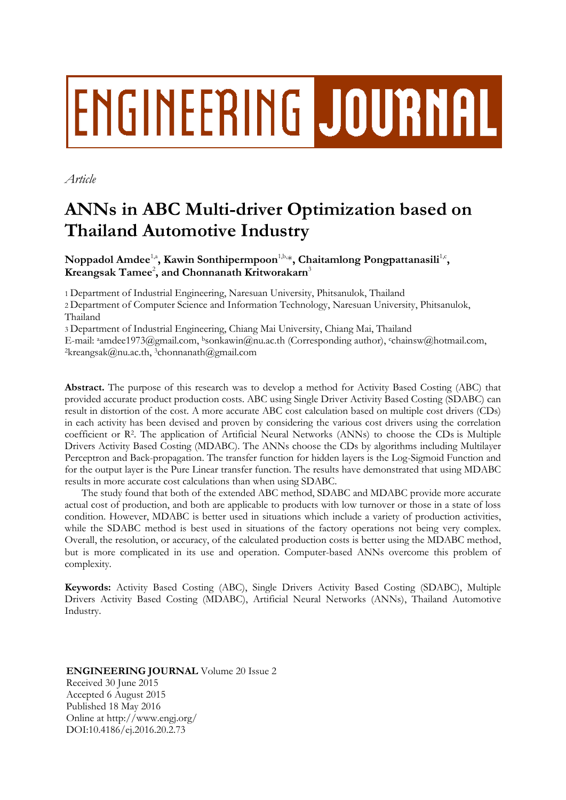# ENGINEERING JOURNAL

*Article*

# **ANNs in ABC Multi-driver Optimization based on Thailand Automotive Industry**

Noppadol Amdee<sup>1,a</sup>, Kawin Sonthipermpoon<sup>1,b,\*</sup>, Chaitamlong Pongpattanasili<sup>1,c</sup>,  $K$ reangsak  $\mathrm{Tamee}^2$ , and  $\mathrm{Chonnan}$ ath  $\mathrm{Krit}$ worakarn<sup>3</sup>

1 Department of Industrial Engineering, Naresuan University, Phitsanulok, Thailand

2 Department of Computer Science and Information Technology, Naresuan University, Phitsanulok, Thailand

3 Department of Industrial Engineering, Chiang Mai University, Chiang Mai, Thailand

E-mail: <sup>a</sup>amdee1973@gmail.com, bsonkawin@nu.ac.th (Corresponding author), cchainsw@hotmail.com, <sup>2</sup>[kreangsak@nu.ac.th,](mailto:2kreangsak@nu.ac.th) <sup>3</sup>chonnanath@gmail.com

**Abstract.** The purpose of this research was to develop a method for Activity Based Costing (ABC) that provided accurate product production costs. ABC using Single Driver Activity Based Costing (SDABC) can result in distortion of the cost. A more accurate ABC cost calculation based on multiple cost drivers (CDs) in each activity has been devised and proven by considering the various cost drivers using the correlation coefficient or R<sup>2</sup> . The application of Artificial Neural Networks (ANNs) to choose the CDs is Multiple Drivers Activity Based Costing (MDABC). The ANNs choose the CDs by algorithms including Multilayer Perceptron and Back-propagation. The transfer function for hidden layers is the Log-Sigmoid Function and for the output layer is the Pure Linear transfer function. The results have demonstrated that using MDABC results in more accurate cost calculations than when using SDABC.

The study found that both of the extended ABC method, SDABC and MDABC provide more accurate actual cost of production, and both are applicable to products with low turnover or those in a state of loss condition. However, MDABC is better used in situations which include a variety of production activities, while the SDABC method is best used in situations of the factory operations not being very complex. Overall, the resolution, or accuracy, of the calculated production costs is better using the MDABC method, but is more complicated in its use and operation. Computer-based ANNs overcome this problem of complexity.

**Keywords:** Activity Based Costing (ABC), Single Drivers Activity Based Costing (SDABC), Multiple Drivers Activity Based Costing (MDABC), Artificial Neural Networks (ANNs), Thailand Automotive Industry.

# **ENGINEERING JOURNAL** Volume 20 Issue 2 Received 30 June 2015 Accepted 6 August 2015 Published 18 May 2016 Online at http://www.engj.org/ DOI:10.4186/ej.2016.20.2.73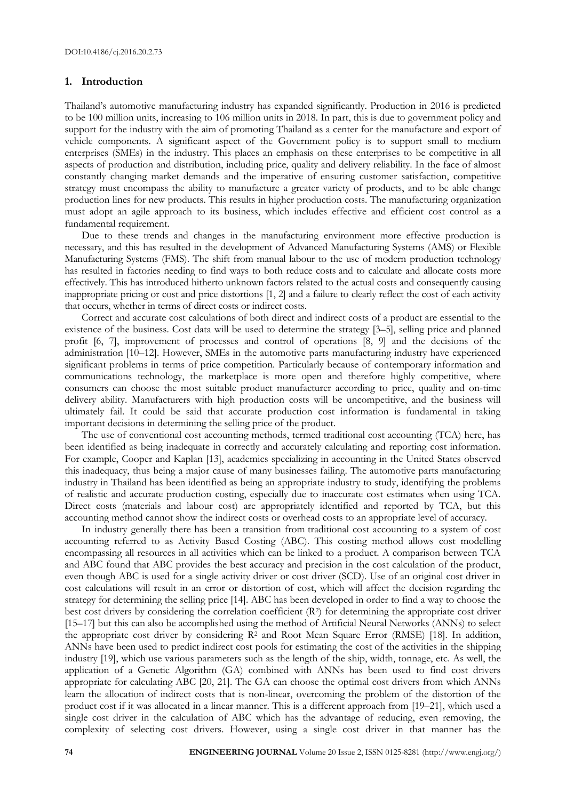#### **1. Introduction**

Thailand's automotive manufacturing industry has expanded significantly. Production in 2016 is predicted to be 100 million units, increasing to 106 million units in 2018. In part, this is due to government policy and support for the industry with the aim of promoting Thailand as a center for the manufacture and export of vehicle components. A significant aspect of the Government policy is to support small to medium enterprises (SMEs) in the industry. This places an emphasis on these enterprises to be competitive in all aspects of production and distribution, including price, quality and delivery reliability. In the face of almost constantly changing market demands and the imperative of ensuring customer satisfaction, competitive strategy must encompass the ability to manufacture a greater variety of products, and to be able change production lines for new products. This results in higher production costs. The manufacturing organization must adopt an agile approach to its business, which includes effective and efficient cost control as a fundamental requirement.

Due to these trends and changes in the manufacturing environment more effective production is necessary, and this has resulted in the development of Advanced Manufacturing Systems (AMS) or Flexible Manufacturing Systems (FMS). The shift from manual labour to the use of modern production technology has resulted in factories needing to find ways to both reduce costs and to calculate and allocate costs more effectively. This has introduced hitherto unknown factors related to the actual costs and consequently causing inappropriate pricing or cost and price distortions [1, 2] and a failure to clearly reflect the cost of each activity that occurs, whether in terms of direct costs or indirect costs.

Correct and accurate cost calculations of both direct and indirect costs of a product are essential to the existence of the business. Cost data will be used to determine the strategy [3–5], selling price and planned profit [6, 7], improvement of processes and control of operations  $(8, 9)$  and the decisions of the administration [10–12]. However, SMEs in the automotive parts manufacturing industry have experienced significant problems in terms of price competition. Particularly because of contemporary information and communications technology, the marketplace is more open and therefore highly competitive, where consumers can choose the most suitable product manufacturer according to price, quality and on-time delivery ability. Manufacturers with high production costs will be uncompetitive, and the business will ultimately fail. It could be said that accurate production cost information is fundamental in taking important decisions in determining the selling price of the product.

The use of conventional cost accounting methods, termed traditional cost accounting (TCA) here, has been identified as being inadequate in correctly and accurately calculating and reporting cost information. For example, Cooper and Kaplan [13], academics specializing in accounting in the United States observed this inadequacy, thus being a major cause of many businesses failing. The automotive parts manufacturing industry in Thailand has been identified as being an appropriate industry to study, identifying the problems of realistic and accurate production costing, especially due to inaccurate cost estimates when using TCA. Direct costs (materials and labour cost) are appropriately identified and reported by TCA, but this accounting method cannot show the indirect costs or overhead costs to an appropriate level of accuracy.

In industry generally there has been a transition from traditional cost accounting to a system of cost accounting referred to as Activity Based Costing (ABC). This costing method allows cost modelling encompassing all resources in all activities which can be linked to a product. A comparison between TCA and ABC found that ABC provides the best accuracy and precision in the cost calculation of the product, even though ABC is used for a single activity driver or cost driver (SCD). Use of an original cost driver in cost calculations will result in an error or distortion of cost, which will affect the decision regarding the strategy for determining the selling price [14]. ABC has been developed in order to find a way to choose the best cost drivers by considering the correlation coefficient (R<sup>2</sup> ) for determining the appropriate cost driver [15–17] but this can also be accomplished using the method of Artificial Neural Networks (ANNs) to select the appropriate cost driver by considering R<sup>2</sup> and Root Mean Square Error (RMSE) [18]. In addition, ANNs have been used to predict indirect cost pools for estimating the cost of the activities in the shipping industry [19], which use various parameters such as the length of the ship, width, tonnage, etc. As well, the application of a Genetic Algorithm (GA) combined with ANNs has been used to find cost drivers appropriate for calculating ABC [20, 21]. The GA can choose the optimal cost drivers from which ANNs learn the allocation of indirect costs that is non-linear, overcoming the problem of the distortion of the product cost if it was allocated in a linear manner. This is a different approach from [19–21], which used a single cost driver in the calculation of ABC which has the advantage of reducing, even removing, the complexity of selecting cost drivers. However, using a single cost driver in that manner has the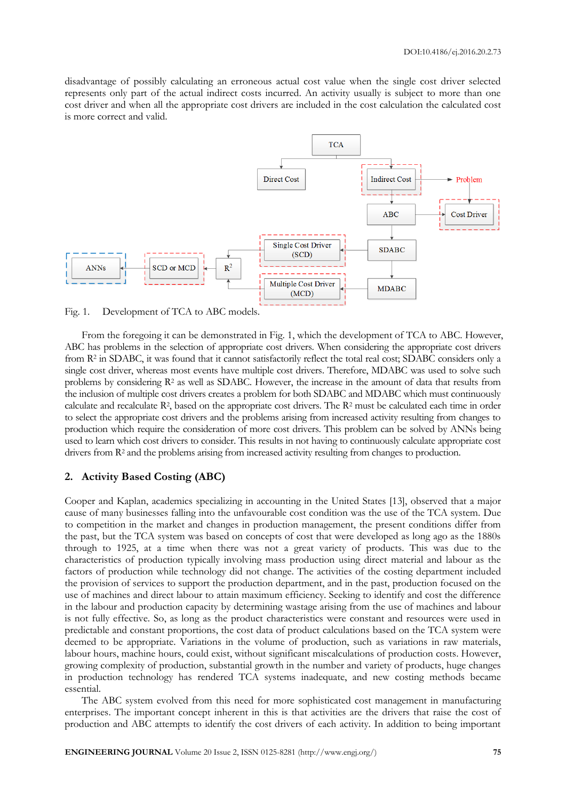disadvantage of possibly calculating an erroneous actual cost value when the single cost driver selected represents only part of the actual indirect costs incurred. An activity usually is subject to more than one cost driver and when all the appropriate cost drivers are included in the cost calculation the calculated cost is more correct and valid.



Fig. 1. Development of TCA to ABC models.

From the foregoing it can be demonstrated in Fig. 1, which the development of TCA to ABC. However, ABC has problems in the selection of appropriate cost drivers. When considering the appropriate cost drivers from R<sup>2</sup> in SDABC, it was found that it cannot satisfactorily reflect the total real cost; SDABC considers only a single cost driver, whereas most events have multiple cost drivers. Therefore, MDABC was used to solve such problems by considering R<sup>2</sup> as well as SDABC. However, the increase in the amount of data that results from the inclusion of multiple cost drivers creates a problem for both SDABC and MDABC which must continuously calculate and recalculate R<sup>2</sup>, based on the appropriate cost drivers. The R<sup>2</sup> must be calculated each time in order to select the appropriate cost drivers and the problems arising from increased activity resulting from changes to production which require the consideration of more cost drivers. This problem can be solved by ANNs being used to learn which cost drivers to consider. This results in not having to continuously calculate appropriate cost drivers from  $\mathbb{R}^2$  and the problems arising from increased activity resulting from changes to production.

# **2. Activity Based Costing (ABC)**

Cooper and Kaplan, academics specializing in accounting in the United States [13], observed that a major cause of many businesses falling into the unfavourable cost condition was the use of the TCA system. Due to competition in the market and changes in production management, the present conditions differ from the past, but the TCA system was based on concepts of cost that were developed as long ago as the 1880s through to 1925, at a time when there was not a great variety of products. This was due to the characteristics of production typically involving mass production using direct material and labour as the factors of production while technology did not change. The activities of the costing department included the provision of services to support the production department, and in the past, production focused on the use of machines and direct labour to attain maximum efficiency. Seeking to identify and cost the difference in the labour and production capacity by determining wastage arising from the use of machines and labour is not fully effective. So, as long as the product characteristics were constant and resources were used in predictable and constant proportions, the cost data of product calculations based on the TCA system were deemed to be appropriate. Variations in the volume of production, such as variations in raw materials, labour hours, machine hours, could exist, without significant miscalculations of production costs. However, growing complexity of production, substantial growth in the number and variety of products, huge changes in production technology has rendered TCA systems inadequate, and new costing methods became essential.

The ABC system evolved from this need for more sophisticated cost management in manufacturing enterprises. The important concept inherent in this is that activities are the drivers that raise the cost of production and ABC attempts to identify the cost drivers of each activity. In addition to being important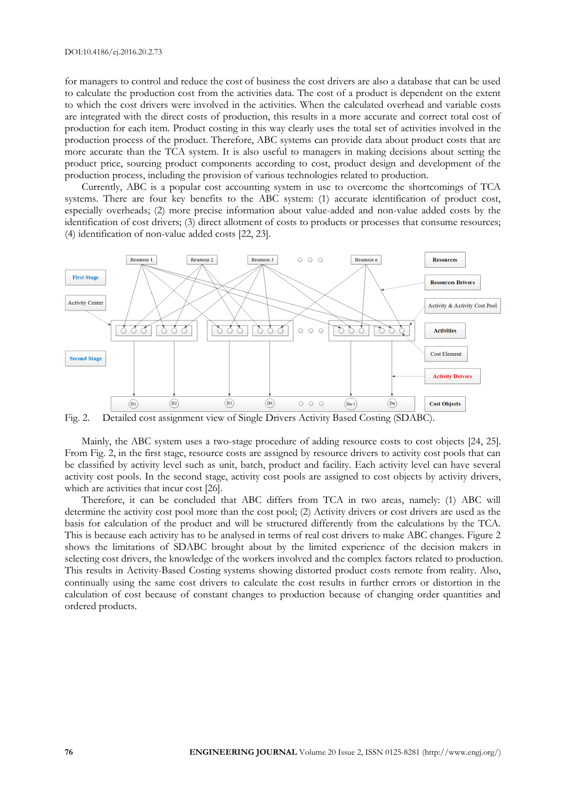for managers to control and reduce the cost of business the cost drivers are also a database that can be used to calculate the production cost from the activities data. The cost of a product is dependent on the extent to which the cost drivers were involved in the activities. When the calculated overhead and variable costs are integrated with the direct costs of production, this results in a more accurate and correct total cost of production for each item. Product costing in this way clearly uses the total set of activities involved in the production process of the product. Therefore, ABC systems can provide data about product costs that are more accurate than the TCA system. It is also useful to managers in making decisions about setting the product price, sourcing product components according to cost, product design and development of the production process, including the provision of various technologies related to production.

Currently, ABC is a popular cost accounting system in use to overcome the shortcomings of TCA systems. There are four key benefits to the ABC system: (1) accurate identification of product cost, especially overheads; (2) more precise information about value-added and non-value added costs by the identification of cost drivers; (3) direct allotment of costs to products or processes that consume resources; (4) identification of non-value added costs [22, 23].



Fig. 2. Detailed cost assignment view of Single Drivers Activity Based Costing (SDABC).

Mainly, the ABC system uses a two-stage procedure of adding resource costs to cost objects [24, 25]. From Fig. 2, in the first stage, resource costs are assigned by resource drivers to activity cost pools that can be classified by activity level such as unit, batch, product and facility. Each activity level can have several activity cost pools. In the second stage, activity cost pools are assigned to cost objects by activity drivers, which are activities that incur cost [26].

Therefore, it can be concluded that ABC differs from TCA in two areas, namely: (1) ABC will determine the activity cost pool more than the cost pool; (2) Activity drivers or cost drivers are used as the basis for calculation of the product and will be structured differently from the calculations by the TCA. This is because each activity has to be analysed in terms of real cost drivers to make ABC changes. Figure 2 shows the limitations of SDABC brought about by the limited experience of the decision makers in selecting cost drivers, the knowledge of the workers involved and the complex factors related to production. This results in Activity-Based Costing systems showing distorted product costs remote from reality. Also, continually using the same cost drivers to calculate the cost results in further errors or distortion in the calculation of cost because of constant changes to production because of changing order quantities and ordered products.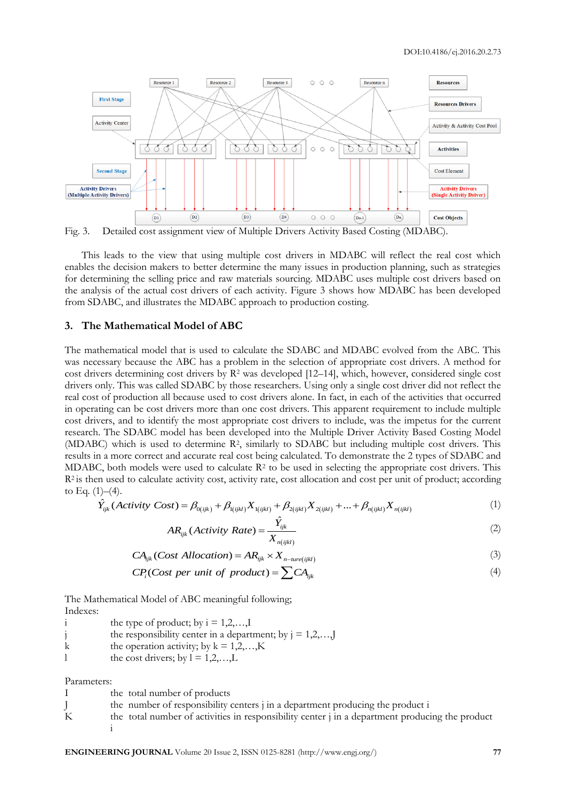

Fig. 3. Detailed cost assignment view of Multiple Drivers Activity Based Costing (MDABC).

This leads to the view that using multiple cost drivers in MDABC will reflect the real cost which enables the decision makers to better determine the many issues in production planning, such as strategies for determining the selling price and raw materials sourcing. MDABC uses multiple cost drivers based on the analysis of the actual cost drivers of each activity. Figure 3 shows how MDABC has been developed from SDABC, and illustrates the MDABC approach to production costing.

#### **3. The Mathematical Model of ABC**

The mathematical model that is used to calculate the SDABC and MDABC evolved from the ABC. This was necessary because the ABC has a problem in the selection of appropriate cost drivers. A method for cost drivers determining cost drivers by  $R^2$  was developed [12–14], which, however, considered single cost drivers only. This was called SDABC by those researchers. Using only a single cost driver did not reflect the real cost of production all because used to cost drivers alone. In fact, in each of the activities that occurred in operating can be cost drivers more than one cost drivers. This apparent requirement to include multiple cost drivers, and to identify the most appropriate cost drivers to include, was the impetus for the current research. The SDABC model has been developed into the Multiple Driver Activity Based Costing Model (MDABC) which is used to determine R<sup>2</sup>, similarly to SDABC but including multiple cost drivers. This results in a more correct and accurate real cost being calculated. To demonstrate the 2 types of SDABC and MDABC, both models were used to calculate  $\mathbb{R}^2$  to be used in selecting the appropriate cost drivers. This R<sup>2</sup> is then used to calculate activity cost, activity rate, cost allocation and cost per unit of product; according to Eq.  $(1)$ – $(4)$ . C, both models were used to calculate  $R^2$  to be used in selecting the appropri-<br>  $\hat{Y}_{ijk}$  (Activity Cost) =  $\beta_{0(ijk)} + \beta_{1(ijkl)} X_{1(ijkl)} + \beta_{2(ijkl)} X_{2(ijkl)} + ... + \beta_{n(ijkl)} X_{n(ijkl)}$ 

1)–(4).  
\n
$$
\hat{Y}_{ijk}(Activity Cost) = \beta_{0(ijk)} + \beta_{1(ijkl)} X_{1(ijkl)} + \beta_{2(ijkl)} X_{2(ijkl)} + ... + \beta_{n(ijkl)} X_{n(ijkl)}
$$
\n(1)

$$
AR_{ijk}(Activity Rate) = \frac{\hat{Y}_{ijk}}{X_{n(ijkl)}}
$$
 (2)

$$
A_{ijk} (A_{ijk}) = \frac{X_{n(ijkl)}}{X_{n(ijkl)}}
$$
  
\n
$$
CA_{ijk} (Cost Allocation) = AR_{ijk} \times X_{n-ture(ijkl)}
$$
  
\n
$$
CP_{i} (Cost per unit of product) = \sum CA_{ijk}
$$
\n(4)

$$
CPi(Cost per unit of product) = \sum CAijk
$$
 (4)

The Mathematical Model of ABC meaningful following; Indexes:

|   | the type of product; by $i = 1, 2, \dots, I$                       |
|---|--------------------------------------------------------------------|
|   | the responsibility center in a department; by $j = 1, 2, \ldots$ J |
| k | the operation activity; by $k = 1, 2, \dots, K$                    |
|   | the cost drivers; by $l = 1, 2, \dots, L$                          |

Parameters:

|   | the total number of products                                                                                |
|---|-------------------------------------------------------------------------------------------------------------|
|   | the number of responsibility centers i in a department producing the product i                              |
| K | the total number of activities in responsibility center $\frac{1}{2}$ in a department producing the product |
|   |                                                                                                             |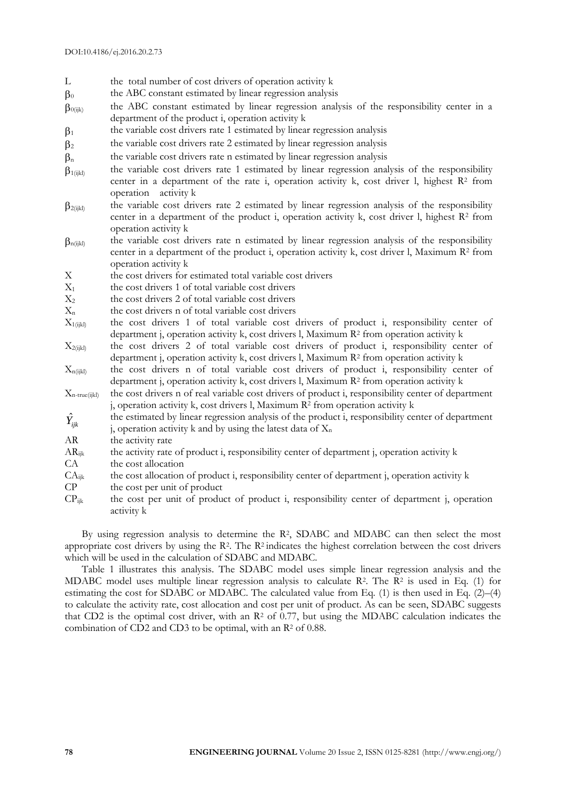- L the total number of cost drivers of operation activity k
- $\beta_0$ the ABC constant estimated by linear regression analysis
- $\beta_{0(iik)}$  the ABC constant estimated by linear regression analysis of the responsibility center in a department of the product i, operation activity k
- $\beta_1$ the variable cost drivers rate 1 estimated by linear regression analysis
- $B<sub>2</sub>$ the variable cost drivers rate 2 estimated by linear regression analysis
- $\beta_n$ the variable cost drivers rate n estimated by linear regression analysis
- $\beta_{1(iikl)}$  the variable cost drivers rate 1 estimated by linear regression analysis of the responsibility center in a department of the rate i, operation activity k, cost driver l, highest R<sup>2</sup> from operation activity k
- $\beta_{2(iik)}$  the variable cost drivers rate 2 estimated by linear regression analysis of the responsibility center in a department of the product i, operation activity k, cost driver l, highest R<sup>2</sup> from operation activity k
- $\beta_{n(ijkl)}$  the variable cost drivers rate n estimated by linear regression analysis of the responsibility center in a department of the product i, operation activity k, cost driver l, Maximum R<sup>2</sup> from operation activity k
- X the cost drivers for estimated total variable cost drivers
- $X_1$  the cost drivers 1 of total variable cost drivers
- $X<sub>2</sub>$  the cost drivers 2 of total variable cost drivers
- $X_n$  the cost drivers n of total variable cost drivers
- $X_{1(i;kl)}$  the cost drivers 1 of total variable cost drivers of product i, responsibility center of department j, operation activity k, cost drivers l, Maximum R<sup>2</sup> from operation activity k
- $X_{2(iik)}$  the cost drivers 2 of total variable cost drivers of product i, responsibility center of department j, operation activity k, cost drivers l, Maximum R<sup>2</sup> from operation activity k
- $X_{n(iik)}$  the cost drivers n of total variable cost drivers of product i, responsibility center of department j, operation activity k, cost drivers l, Maximum R<sup>2</sup> from operation activity k
- $X_{n\text{-true}(\text{likelihood})}$  the cost drivers n of real variable cost drivers of product i, responsibility center of department j, operation activity k, cost drivers l, Maximum R<sup>2</sup> from operation activity k
- $\hat{Y}_{ijk}$ the estimated by linear regression analysis of the product i, responsibility center of department j, operation activity k and by using the latest data of  $X_n$
- AR the activity rate
- $AR_{ijk}$  the activity rate of product i, responsibility center of department j, operation activity k
- CA the cost allocation
- $CA_{ijk}$  the cost allocation of product i, responsibility center of department j, operation activity k
- $CP$  the cost per unit of product
- $CP_{ijk}$  the cost per unit of product of product i, responsibility center of department j, operation activity k

By using regression analysis to determine the R<sup>2</sup> , SDABC and MDABC can then select the most appropriate cost drivers by using the R<sup>2</sup>. The R<sup>2</sup> indicates the highest correlation between the cost drivers which will be used in the calculation of SDABC and MDABC.

Table 1 illustrates this analysis. The SDABC model uses simple linear regression analysis and the MDABC model uses multiple linear regression analysis to calculate R<sup>2</sup>. The R<sup>2</sup> is used in Eq. (1) for estimating the cost for SDABC or MDABC. The calculated value from Eq. (1) is then used in Eq. (2)–(4) to calculate the activity rate, cost allocation and cost per unit of product. As can be seen, SDABC suggests that CD2 is the optimal cost driver, with an  $R<sup>2</sup>$  of 0.77, but using the MDABC calculation indicates the combination of CD2 and CD3 to be optimal, with an  $\mathbb{R}^2$  of 0.88.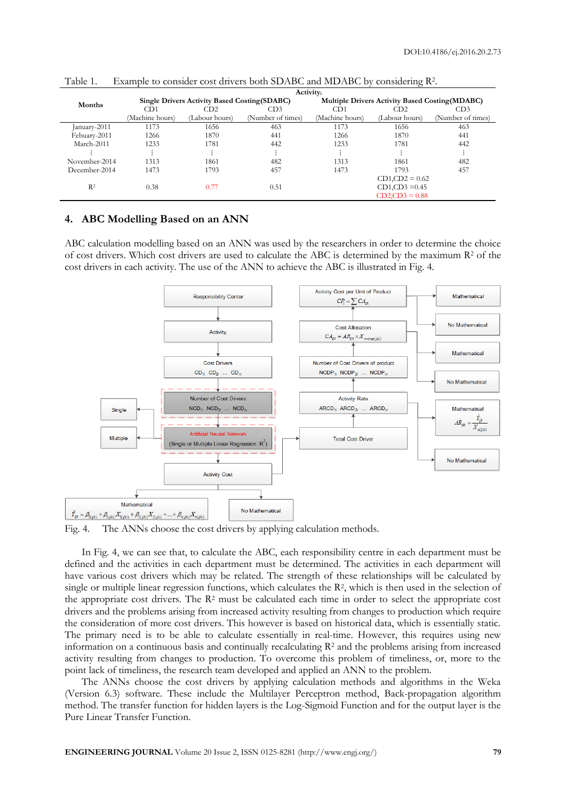|                | <b>Activity</b> <sub>i</sub> |                                                      |                   |                                                        |                   |                   |  |  |  |
|----------------|------------------------------|------------------------------------------------------|-------------------|--------------------------------------------------------|-------------------|-------------------|--|--|--|
| Months         |                              | <b>Single Drivers Activity Based Costing (SDABC)</b> |                   | <b>Multiple Drivers Activity Based Costing (MDABC)</b> |                   |                   |  |  |  |
|                | CD1                          | CD <sub>2</sub>                                      | CD3               | CD <sub>1</sub>                                        | CD2               | CD <sub>3</sub>   |  |  |  |
|                | Machine hours)               | (Labour hours)                                       | (Number of times) | (Machine hours)                                        | (Labour hours)    | (Number of times) |  |  |  |
| January-2011   | 1173                         | 1656                                                 | 463               | 1173                                                   | 1656              | 463               |  |  |  |
| Febuary-2011   | 1266                         | 1870                                                 | 441               | 1266                                                   | 1870              | 441               |  |  |  |
| March-2011     | 1233                         | 1781                                                 | 442               | 1233                                                   | 1781              | 442               |  |  |  |
|                |                              |                                                      |                   |                                                        |                   |                   |  |  |  |
| November-2014  | 1313                         | 1861                                                 | 482               | 1313                                                   | 1861              | 482               |  |  |  |
| December-2014  | 1473                         | 1793                                                 | 457               | 1473                                                   | 1793              | 457               |  |  |  |
|                |                              |                                                      |                   |                                                        | $CD1, CD2 = 0.62$ |                   |  |  |  |
| R <sup>2</sup> | 0.38                         | 0.77                                                 | 0.51              | $CD1, CD3 = 0.45$                                      |                   |                   |  |  |  |
|                |                              |                                                      |                   |                                                        | $CD2, CD3 = 0.88$ |                   |  |  |  |

Table 1. Example to consider cost drivers both SDABC and MDABC by considering R<sup>2</sup> .

# **4. ABC Modelling Based on an ANN**

ABC calculation modelling based on an ANN was used by the researchers in order to determine the choice of cost drivers. Which cost drivers are used to calculate the ABC is determined by the maximum R<sup>2</sup> of the cost drivers in each activity. The use of the ANN to achieve the ABC is illustrated in Fig. 4.



Fig. 4. The ANNs choose the cost drivers by applying calculation methods.

In Fig. 4, we can see that, to calculate the ABC, each responsibility centre in each department must be defined and the activities in each department must be determined. The activities in each department will have various cost drivers which may be related. The strength of these relationships will be calculated by single or multiple linear regression functions, which calculates the R<sup>2</sup>, which is then used in the selection of the appropriate cost drivers. The  $\mathbb{R}^2$  must be calculated each time in order to select the appropriate cost drivers and the problems arising from increased activity resulting from changes to production which require the consideration of more cost drivers. This however is based on historical data, which is essentially static. The primary need is to be able to calculate essentially in real-time. However, this requires using new information on a continuous basis and continually recalculating  $R<sup>2</sup>$  and the problems arising from increased activity resulting from changes to production. To overcome this problem of timeliness, or, more to the point lack of timeliness, the research team developed and applied an ANN to the problem.

The ANNs choose the cost drivers by applying calculation methods and algorithms in the Weka (Version 6.3) software. These include the Multilayer Perceptron method, Back-propagation algorithm method. The transfer function for hidden layers is the Log-Sigmoid Function and for the output layer is the Pure Linear Transfer Function.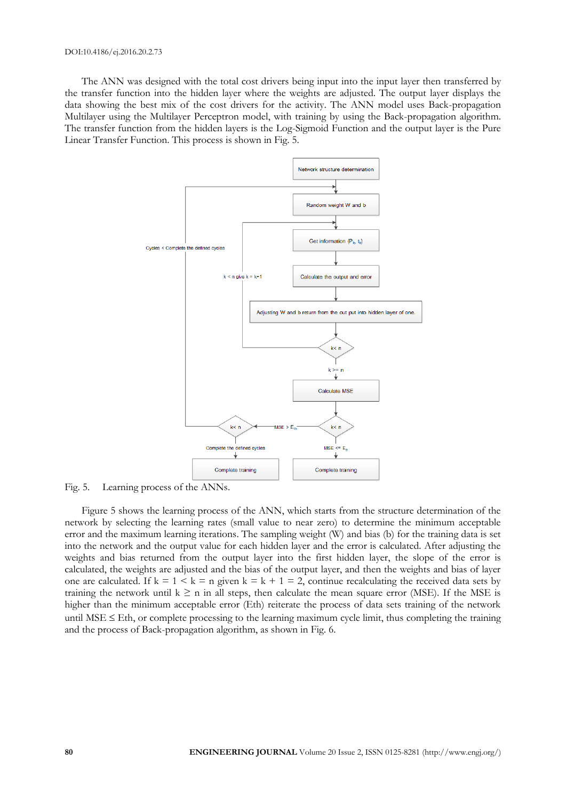The ANN was designed with the total cost drivers being input into the input layer then transferred by the transfer function into the hidden layer where the weights are adjusted. The output layer displays the data showing the best mix of the cost drivers for the activity. The ANN model uses Back-propagation Multilayer using the Multilayer Perceptron model, with training by using the Back-propagation algorithm. The transfer function from the hidden layers is the Log-Sigmoid Function and the output layer is the Pure Linear Transfer Function. This process is shown in Fig. 5.



Fig. 5. Learning process of the ANNs.

Figure 5 shows the learning process of the ANN, which starts from the structure determination of the network by selecting the learning rates (small value to near zero) to determine the minimum acceptable error and the maximum learning iterations. The sampling weight (W) and bias (b) for the training data is set into the network and the output value for each hidden layer and the error is calculated. After adjusting the weights and bias returned from the output layer into the first hidden layer, the slope of the error is calculated, the weights are adjusted and the bias of the output layer, and then the weights and bias of layer one are calculated. If  $k = 1 \le k = n$  given  $k = k + 1 = 2$ , continue recalculating the received data sets by training the network until  $k \ge n$  in all steps, then calculate the mean square error (MSE). If the MSE is higher than the minimum acceptable error (Eth) reiterate the process of data sets training of the network until MSE  $\leq$  Eth, or complete processing to the learning maximum cycle limit, thus completing the training and the process of Back-propagation algorithm, as shown in Fig. 6.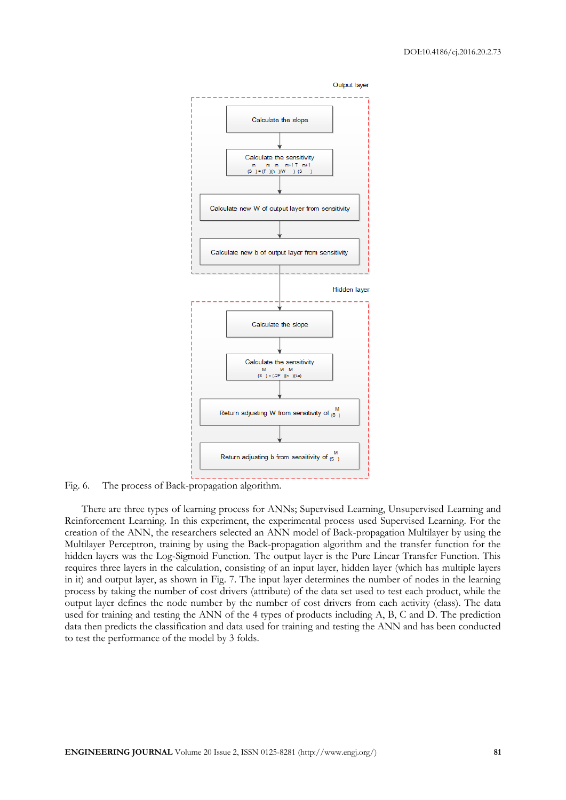

Fig. 6. The process of Back-propagation algorithm.

There are three types of learning process for ANNs; Supervised Learning, Unsupervised Learning and Reinforcement Learning. In this experiment, the experimental process used Supervised Learning. For the creation of the ANN, the researchers selected an ANN model of Back-propagation Multilayer by using the Multilayer Perceptron, training by using the Back-propagation algorithm and the transfer function for the hidden layers was the Log-Sigmoid Function. The output layer is the Pure Linear Transfer Function. This requires three layers in the calculation, consisting of an input layer, hidden layer (which has multiple layers in it) and output layer, as shown in Fig. 7. The input layer determines the number of nodes in the learning process by taking the number of cost drivers (attribute) of the data set used to test each product, while the output layer defines the node number by the number of cost drivers from each activity (class). The data used for training and testing the ANN of the 4 types of products including A, B, C and D. The prediction data then predicts the classification and data used for training and testing the ANN and has been conducted to test the performance of the model by 3 folds.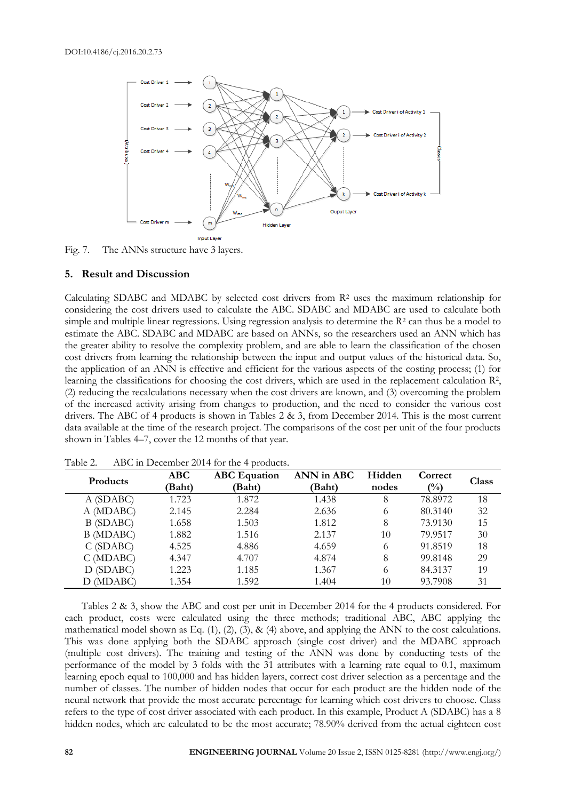

Fig. 7. The ANNs structure have 3 layers.

#### **5. Result and Discussion**

Calculating SDABC and MDABC by selected cost drivers from  $R<sup>2</sup>$  uses the maximum relationship for considering the cost drivers used to calculate the ABC. SDABC and MDABC are used to calculate both simple and multiple linear regressions. Using regression analysis to determine the R<sup>2</sup> can thus be a model to estimate the ABC. SDABC and MDABC are based on ANNs, so the researchers used an ANN which has the greater ability to resolve the complexity problem, and are able to learn the classification of the chosen cost drivers from learning the relationship between the input and output values of the historical data. So, the application of an ANN is effective and efficient for the various aspects of the costing process; (1) for learning the classifications for choosing the cost drivers, which are used in the replacement calculation R<sup>2</sup>, (2) reducing the recalculations necessary when the cost drivers are known, and (3) overcoming the problem of the increased activity arising from changes to production, and the need to consider the various cost drivers. The ABC of 4 products is shown in Tables 2 & 3, from December 2014. This is the most current data available at the time of the research project. The comparisons of the cost per unit of the four products shown in Tables 4–7, cover the 12 months of that year.

| <b>Products</b> | <b>ABC</b> | <b>ABC</b> Equation | ANN in ABC | Hidden | Correct        | <b>Class</b> |
|-----------------|------------|---------------------|------------|--------|----------------|--------------|
|                 | (Baht)     | (Baht)              | (Baht)     | nodes  | $\binom{0}{0}$ |              |
| A (SDABC)       | 1.723      | 1.872               | 1.438      | 8      | 78.8972        | 18           |
| A (MDABC)       | 2.145      | 2.284               | 2.636      | 6      | 80.3140        | 32           |
| B (SDABC)       | 1.658      | 1.503               | 1.812      | 8      | 73.9130        | 15           |
| B (MDABC)       | 1.882      | 1.516               | 2.137      | 10     | 79.9517        | 30           |
| C(SDABC)        | 4.525      | 4.886               | 4.659      | 6      | 91.8519        | 18           |
| $C$ (MDABC)     | 4.347      | 4.707               | 4.874      | 8      | 99.8148        | 29           |
| D (SDABC)       | 1.223      | 1.185               | 1.367      | 6      | 84.3137        | 19           |
| D (MDABC)       | 1.354      | 1.592               | 1.404      | 10     | 93.7908        | 31           |

Table 2. ABC in December 2014 for the 4 products.

Tables 2 & 3, show the ABC and cost per unit in December 2014 for the 4 products considered. For each product, costs were calculated using the three methods; traditional ABC, ABC applying the mathematical model shown as Eq.  $(1)$ ,  $(2)$ ,  $(3)$ ,  $\&$   $(4)$  above, and applying the ANN to the cost calculations. This was done applying both the SDABC approach (single cost driver) and the MDABC approach (multiple cost drivers). The training and testing of the ANN was done by conducting tests of the performance of the model by 3 folds with the 31 attributes with a learning rate equal to 0.1, maximum learning epoch equal to 100,000 and has hidden layers, correct cost driver selection as a percentage and the number of classes. The number of hidden nodes that occur for each product are the hidden node of the neural network that provide the most accurate percentage for learning which cost drivers to choose. Class refers to the type of cost driver associated with each product. In this example, Product A (SDABC) has a 8 hidden nodes, which are calculated to be the most accurate; 78.90% derived from the actual eighteen cost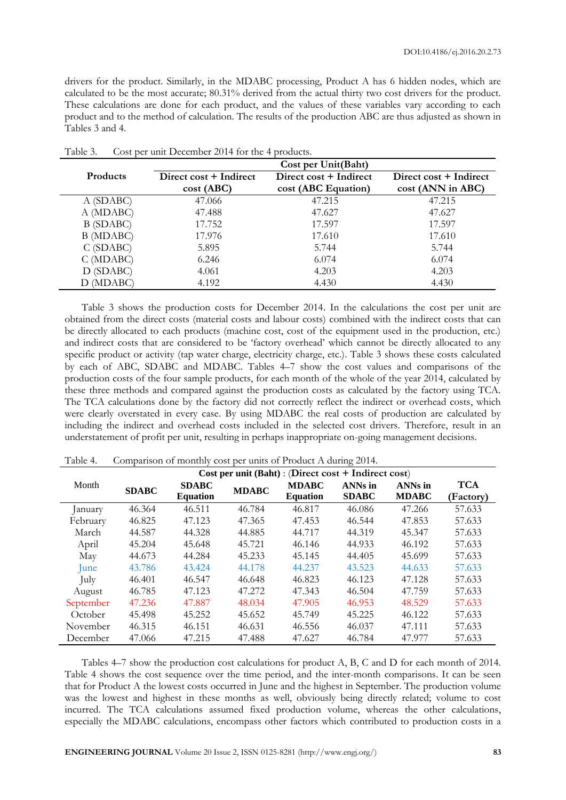drivers for the product. Similarly, in the MDABC processing, Product A has 6 hidden nodes, which are calculated to be the most accurate; 80.31% derived from the actual thirty two cost drivers for the product. These calculations are done for each product, and the values of these variables vary according to each product and to the method of calculation. The results of the production ABC are thus adjusted as shown in Tables 3 and 4.

|                 | Cost per Unit(Baht)    |                        |                        |  |  |  |  |  |
|-----------------|------------------------|------------------------|------------------------|--|--|--|--|--|
| <b>Products</b> | Direct cost + Indirect | Direct cost + Indirect | Direct cost + Indirect |  |  |  |  |  |
|                 | cost(ABC)              | cost (ABC Equation)    | cost (ANN in ABC)      |  |  |  |  |  |
| A (SDABC)       | 47.066                 | 47.215                 | 47.215                 |  |  |  |  |  |
| A (MDABC)       | 47.488                 | 47.627                 | 47.627                 |  |  |  |  |  |
| B (SDABC)       | 17.752                 | 17.597                 | 17.597                 |  |  |  |  |  |
| B (MDABC)       | 17.976                 | 17.610                 | 17.610                 |  |  |  |  |  |
| C(SDABC)        | 5.895                  | 5.744                  | 5.744                  |  |  |  |  |  |
| $C$ (MDABC)     | 6.246                  | 6.074                  | 6.074                  |  |  |  |  |  |
| D (SDABC)       | 4.061                  | 4.203                  | 4.203                  |  |  |  |  |  |
| D (MDABC)       | 4.192                  | 4.430                  | 4.430                  |  |  |  |  |  |

Table 3. Cost per unit December 2014 for the 4 products.

Table 3 shows the production costs for December 2014. In the calculations the cost per unit are obtained from the direct costs (material costs and labour costs) combined with the indirect costs that can be directly allocated to each products (machine cost, cost of the equipment used in the production, etc.) and indirect costs that are considered to be 'factory overhead' which cannot be directly allocated to any specific product or activity (tap water charge, electricity charge, etc.). Table 3 shows these costs calculated by each of ABC, SDABC and MDABC. Tables 4–7 show the cost values and comparisons of the production costs of the four sample products, for each month of the whole of the year 2014, calculated by these three methods and compared against the production costs as calculated by the factory using TCA. The TCA calculations done by the factory did not correctly reflect the indirect or overhead costs, which were clearly overstated in every case. By using MDABC the real costs of production are calculated by including the indirect and overhead costs included in the selected cost drivers. Therefore, result in an understatement of profit per unit, resulting in perhaps inappropriate on-going management decisions.

| Cost per unit $(Baht)$ : (Direct cost + Indirect cost) |              |                                 |              |                                 |                                |                                |                         |  |
|--------------------------------------------------------|--------------|---------------------------------|--------------|---------------------------------|--------------------------------|--------------------------------|-------------------------|--|
| Month                                                  | <b>SDABC</b> | <b>SDABC</b><br><b>Equation</b> | <b>MDABC</b> | <b>MDABC</b><br><b>Equation</b> | <b>ANNs</b> in<br><b>SDABC</b> | <b>ANNs</b> in<br><b>MDABC</b> | <b>TCA</b><br>(Factory) |  |
| <i>anuary</i>                                          | 46.364       | 46.511                          | 46.784       | 46.817                          | 46.086                         | 47.266                         | 57.633                  |  |
| February                                               | 46.825       | 47.123                          | 47.365       | 47.453                          | 46.544                         | 47.853                         | 57.633                  |  |
| March                                                  | 44.587       | 44.328                          | 44.885       | 44.717                          | 44.319                         | 45.347                         | 57.633                  |  |
| April                                                  | 45.204       | 45.648                          | 45.721       | 46.146                          | 44.933                         | 46.192                         | 57.633                  |  |
| May                                                    | 44.673       | 44.284                          | 45.233       | 45.145                          | 44.405                         | 45.699                         | 57.633                  |  |
| June                                                   | 43.786       | 43.424                          | 44.178       | 44.237                          | 43.523                         | 44.633                         | 57.633                  |  |
| July                                                   | 46.401       | 46.547                          | 46.648       | 46.823                          | 46.123                         | 47.128                         | 57.633                  |  |
| August                                                 | 46.785       | 47.123                          | 47.272       | 47.343                          | 46.504                         | 47.759                         | 57.633                  |  |
| September                                              | 47.236       | 47.887                          | 48.034       | 47.905                          | 46.953                         | 48.529                         | 57.633                  |  |
| October                                                | 45.498       | 45.252                          | 45.652       | 45.749                          | 45.225                         | 46.122                         | 57.633                  |  |
| November                                               | 46.315       | 46.151                          | 46.631       | 46.556                          | 46.037                         | 47.111                         | 57.633                  |  |
| December                                               | 47.066       | 47.215                          | 47.488       | 47.627                          | 46.784                         | 47.977                         | 57.633                  |  |

Table 4. Comparison of monthly cost per units of Product A during 2014.

Tables 4–7 show the production cost calculations for product A, B, C and D for each month of 2014. Table 4 shows the cost sequence over the time period, and the inter-month comparisons. It can be seen that for Product A the lowest costs occurred in June and the highest in September. The production volume was the lowest and highest in these months as well, obviously being directly related; volume to cost incurred. The TCA calculations assumed fixed production volume, whereas the other calculations, especially the MDABC calculations, encompass other factors which contributed to production costs in a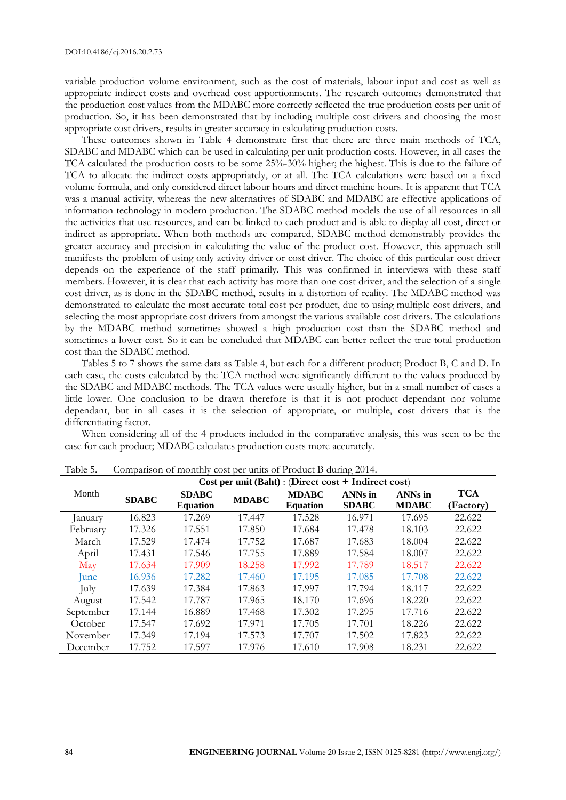variable production volume environment, such as the cost of materials, labour input and cost as well as appropriate indirect costs and overhead cost apportionments. The research outcomes demonstrated that the production cost values from the MDABC more correctly reflected the true production costs per unit of production. So, it has been demonstrated that by including multiple cost drivers and choosing the most appropriate cost drivers, results in greater accuracy in calculating production costs.

These outcomes shown in Table 4 demonstrate first that there are three main methods of TCA, SDABC and MDABC which can be used in calculating per unit production costs. However, in all cases the TCA calculated the production costs to be some 25%-30% higher; the highest. This is due to the failure of TCA to allocate the indirect costs appropriately, or at all. The TCA calculations were based on a fixed volume formula, and only considered direct labour hours and direct machine hours. It is apparent that TCA was a manual activity, whereas the new alternatives of SDABC and MDABC are effective applications of information technology in modern production. The SDABC method models the use of all resources in all the activities that use resources, and can be linked to each product and is able to display all cost, direct or indirect as appropriate. When both methods are compared, SDABC method demonstrably provides the greater accuracy and precision in calculating the value of the product cost. However, this approach still manifests the problem of using only activity driver or cost driver. The choice of this particular cost driver depends on the experience of the staff primarily. This was confirmed in interviews with these staff members. However, it is clear that each activity has more than one cost driver, and the selection of a single cost driver, as is done in the SDABC method, results in a distortion of reality. The MDABC method was demonstrated to calculate the most accurate total cost per product, due to using multiple cost drivers, and selecting the most appropriate cost drivers from amongst the various available cost drivers. The calculations by the MDABC method sometimes showed a high production cost than the SDABC method and sometimes a lower cost. So it can be concluded that MDABC can better reflect the true total production cost than the SDABC method.

Tables 5 to 7 shows the same data as Table 4, but each for a different product; Product B, C and D. In each case, the costs calculated by the TCA method were significantly different to the values produced by the SDABC and MDABC methods. The TCA values were usually higher, but in a small number of cases a little lower. One conclusion to be drawn therefore is that it is not product dependant nor volume dependant, but in all cases it is the selection of appropriate, or multiple, cost drivers that is the differentiating factor.

When considering all of the 4 products included in the comparative analysis, this was seen to be the case for each product; MDABC calculates production costs more accurately.

| Companioni of months<br>$\frac{1}{20000}$ per units of Frounce D uniting $\frac{1}{20000}$ |              |                 |              |                 |              |                |            |  |
|--------------------------------------------------------------------------------------------|--------------|-----------------|--------------|-----------------|--------------|----------------|------------|--|
| Cost per unit $(Baht)$ : (Direct cost + Indirect cost)                                     |              |                 |              |                 |              |                |            |  |
| Month                                                                                      | <b>SDABC</b> | <b>SDABC</b>    | <b>MDABC</b> | <b>MDABC</b>    | ANNs in      | <b>ANNs</b> in | <b>TCA</b> |  |
|                                                                                            |              | <b>Equation</b> |              | <b>Equation</b> | <b>SDABC</b> | <b>MDABC</b>   | (Factory)  |  |
| January                                                                                    | 16.823       | 17.269          | 17.447       | 17.528          | 16.971       | 17.695         | 22.622     |  |
| February                                                                                   | 17.326       | 17.551          | 17.850       | 17.684          | 17.478       | 18.103         | 22.622     |  |
| March                                                                                      | 17.529       | 17.474          | 17.752       | 17.687          | 17.683       | 18.004         | 22.622     |  |
| April                                                                                      | 17.431       | 17.546          | 17.755       | 17.889          | 17.584       | 18.007         | 22.622     |  |
| May                                                                                        | 17.634       | 17.909          | 18.258       | 17.992          | 17.789       | 18.517         | 22.622     |  |
| June                                                                                       | 16.936       | 17.282          | 17.460       | 17.195          | 17.085       | 17.708         | 22.622     |  |
| July                                                                                       | 17.639       | 17.384          | 17.863       | 17.997          | 17.794       | 18.117         | 22.622     |  |
| August                                                                                     | 17.542       | 17.787          | 17.965       | 18.170          | 17.696       | 18.220         | 22.622     |  |
| September                                                                                  | 17.144       | 16.889          | 17.468       | 17.302          | 17.295       | 17.716         | 22.622     |  |
| October                                                                                    | 17.547       | 17.692          | 17.971       | 17.705          | 17.701       | 18.226         | 22.622     |  |
| November                                                                                   | 17.349       | 17.194          | 17.573       | 17.707          | 17.502       | 17.823         | 22.622     |  |
| December                                                                                   | 17.752       | 17.597          | 17.976       | 17.610          | 17.908       | 18.231         | 22.622     |  |

Table 5. Comparison of monthly cost per units of Product B during 2014.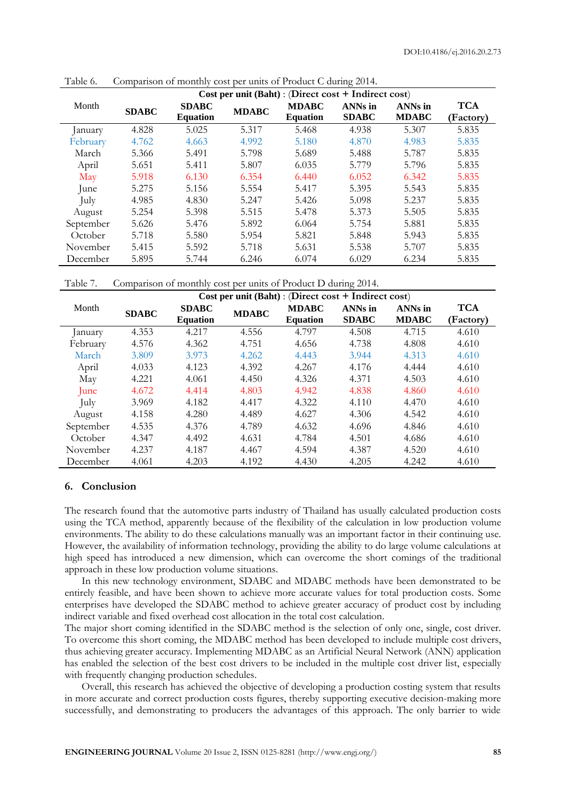| Cost per unit $(Baht)$ : (Direct cost + Indirect cost) |              |                 |              |                 |                |                |            |  |
|--------------------------------------------------------|--------------|-----------------|--------------|-----------------|----------------|----------------|------------|--|
| Month                                                  | <b>SDABC</b> | <b>SDABC</b>    | <b>MDABC</b> | <b>MDABC</b>    | <b>ANNs</b> in | <b>ANNs</b> in | <b>TCA</b> |  |
|                                                        |              | <b>Equation</b> |              | <b>Equation</b> | <b>SDABC</b>   | <b>MDABC</b>   | (Factory)  |  |
| January                                                | 4.828        | 5.025           | 5.317        | 5.468           | 4.938          | 5.307          | 5.835      |  |
| February                                               | 4.762        | 4.663           | 4.992        | 5.180           | 4.870          | 4.983          | 5.835      |  |
| March                                                  | 5.366        | 5.491           | 5.798        | 5.689           | 5.488          | 5.787          | 5.835      |  |
| April                                                  | 5.651        | 5.411           | 5.807        | 6.035           | 5.779          | 5.796          | 5.835      |  |
| May                                                    | 5.918        | 6.130           | 6.354        | 6.440           | 6.052          | 6.342          | 5.835      |  |
| June                                                   | 5.275        | 5.156           | 5.554        | 5.417           | 5.395          | 5.543          | 5.835      |  |
| July                                                   | 4.985        | 4.830           | 5.247        | 5.426           | 5.098          | 5.237          | 5.835      |  |
| August                                                 | 5.254        | 5.398           | 5.515        | 5.478           | 5.373          | 5.505          | 5.835      |  |
| September                                              | 5.626        | 5.476           | 5.892        | 6.064           | 5.754          | 5.881          | 5.835      |  |
| October                                                | 5.718        | 5.580           | 5.954        | 5.821           | 5.848          | 5.943          | 5.835      |  |
| November                                               | 5.415        | 5.592           | 5.718        | 5.631           | 5.538          | 5.707          | 5.835      |  |
| December                                               | 5.895        | 5.744           | 6.246        | 6.074           | 6.029          | 6.234          | 5.835      |  |

Table 6. Comparison of monthly cost per units of Product C during 2014.

Table 7. Comparison of monthly cost per units of Product D during 2014.

| Cost per unit $(Baht)$ : (Direct cost + Indirect cost) |              |                                 |              |                                 |                                |                                |                         |
|--------------------------------------------------------|--------------|---------------------------------|--------------|---------------------------------|--------------------------------|--------------------------------|-------------------------|
| Month                                                  | <b>SDABC</b> | <b>SDABC</b><br><b>Equation</b> | <b>MDABC</b> | <b>MDABC</b><br><b>Equation</b> | <b>ANNs</b> in<br><b>SDABC</b> | <b>ANNs</b> in<br><b>MDABC</b> | <b>TCA</b><br>(Factory) |
| anuary                                                 | 4.353        | 4.217                           | 4.556        | 4.797                           | 4.508                          | 4.715                          | 4.610                   |
| February                                               | 4.576        | 4.362                           | 4.751        | 4.656                           | 4.738                          | 4.808                          | 4.610                   |
| March                                                  | 3.809        | 3.973                           | 4.262        | 4.443                           | 3.944                          | 4.313                          | 4.610                   |
| April                                                  | 4.033        | 4.123                           | 4.392        | 4.267                           | 4.176                          | 4.444                          | 4.610                   |
| May                                                    | 4.221        | 4.061                           | 4.450        | 4.326                           | 4.371                          | 4.503                          | 4.610                   |
| June                                                   | 4.672        | 4.414                           | 4.803        | 4.942                           | 4.838                          | 4.860                          | 4.610                   |
| July                                                   | 3.969        | 4.182                           | 4.417        | 4.322                           | 4.110                          | 4.470                          | 4.610                   |
| August                                                 | 4.158        | 4.280                           | 4.489        | 4.627                           | 4.306                          | 4.542                          | 4.610                   |
| September                                              | 4.535        | 4.376                           | 4.789        | 4.632                           | 4.696                          | 4.846                          | 4.610                   |
| October                                                | 4.347        | 4.492                           | 4.631        | 4.784                           | 4.501                          | 4.686                          | 4.610                   |
| November                                               | 4.237        | 4.187                           | 4.467        | 4.594                           | 4.387                          | 4.520                          | 4.610                   |
| December                                               | 4.061        | 4.203                           | 4.192        | 4.430                           | 4.205                          | 4.242                          | 4.610                   |

### **6. Conclusion**

The research found that the automotive parts industry of Thailand has usually calculated production costs using the TCA method, apparently because of the flexibility of the calculation in low production volume environments. The ability to do these calculations manually was an important factor in their continuing use. However, the availability of information technology, providing the ability to do large volume calculations at high speed has introduced a new dimension, which can overcome the short comings of the traditional approach in these low production volume situations.

In this new technology environment, SDABC and MDABC methods have been demonstrated to be entirely feasible, and have been shown to achieve more accurate values for total production costs. Some enterprises have developed the SDABC method to achieve greater accuracy of product cost by including indirect variable and fixed overhead cost allocation in the total cost calculation.

The major short coming identified in the SDABC method is the selection of only one, single, cost driver. To overcome this short coming, the MDABC method has been developed to include multiple cost drivers, thus achieving greater accuracy. Implementing MDABC as an Artificial Neural Network (ANN) application has enabled the selection of the best cost drivers to be included in the multiple cost driver list, especially with frequently changing production schedules.

Overall, this research has achieved the objective of developing a production costing system that results in more accurate and correct production costs figures, thereby supporting executive decision-making more successfully, and demonstrating to producers the advantages of this approach. The only barrier to wide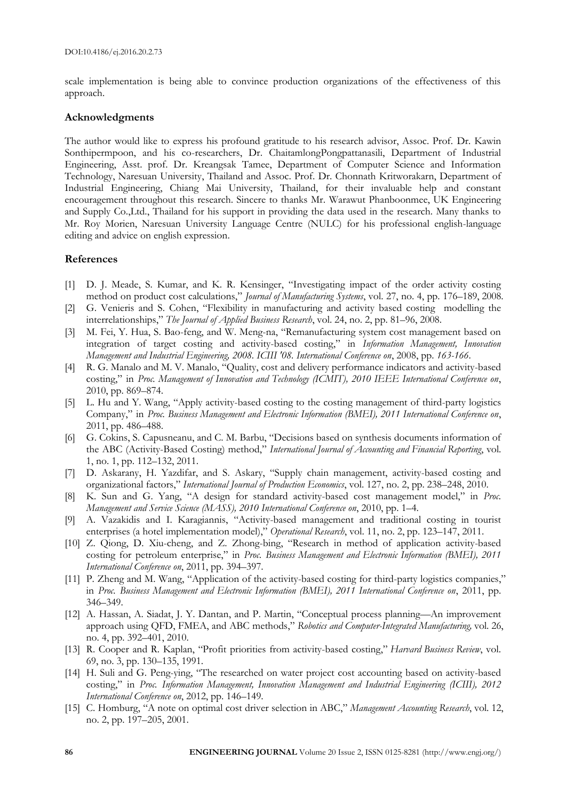scale implementation is being able to convince production organizations of the effectiveness of this approach.

### **Acknowledgments**

The author would like to express his profound gratitude to his research advisor, Assoc. Prof. Dr. Kawin Sonthipermpoon, and his co-researchers, Dr. ChaitamlongPongpattanasili, Department of Industrial Engineering, Asst. prof. Dr. Kreangsak Tamee, Department of Computer Science and Information Technology, Naresuan University, Thailand and Assoc. Prof. Dr. Chonnath Kritworakarn, Department of Industrial Engineering, Chiang Mai University, Thailand, for their invaluable help and constant encouragement throughout this research. Sincere to thanks Mr. Warawut Phanboonmee, UK Engineering and Supply Co.,Ltd., Thailand for his support in providing the data used in the research. Many thanks to Mr. Roy Morien, Naresuan University Language Centre (NULC) for his professional english-language editing and advice on english expression.

## **References**

- [1] D. J. Meade, S. Kumar, and K. R. Kensinger, "Investigating impact of the order activity costing method on product cost calculations," *Journal of Manufacturing Systems*, vol. 27, no. 4, pp. 176–189, 2008.
- [2] G. Venieris and S. Cohen, "Flexibility in manufacturing and activity based costing modelling the interrelationships," *The Journal of Applied Business Research*, vol. 24, no. 2, pp. 81–96, 2008.
- [3] M. Fei, Y. Hua, S. Bao-feng, and W. Meng-na, "Remanufacturing system cost management based on integration of target costing and activity-based costing," in *Information Management, Innovation Management and Industrial Engineering, 2008. ICIII '08. International Conference on*, 2008, pp. *163-166*.
- [4] R. G. Manalo and M. V. Manalo, "Quality, cost and delivery performance indicators and activity-based costing," in *Proc. Management of Innovation and Technology (ICMIT), 2010 IEEE International Conference on*, 2010, pp. 869–874.
- [5] L. Hu and Y. Wang, "Apply activity-based costing to the costing management of third-party logistics Company," in *Proc. Business Management and Electronic Information (BMEI), 2011 International Conference on*, 2011, pp. 486–488.
- [6] G. Cokins, S. Capusneanu, and C. M. Barbu, "Decisions based on synthesis documents information of the ABC (Activity-Based Costing) method," *International Journal of Accounting and Financial Reporting*, vol. 1, no. 1, pp. 112–132, 2011.
- [7] D. Askarany, H. Yazdifar, and S. Askary, "Supply chain management, activity-based costing and organizational factors," *International Journal of Production Economics*, vol. 127, no. 2, pp. 238–248, 2010.
- [8] K. Sun and G. Yang, "A design for standard activity-based cost management model," in *Proc. Management and Service Science (MASS), 2010 International Conference on*, 2010, pp. 1–4.
- [9] A. Vazakidis and I. Karagiannis, "Activity-based management and traditional costing in tourist enterprises (a hotel implementation model)," *Operational Research*, vol. 11, no. 2, pp. 123–147, 2011.
- [10] Z. Qiong, D. Xiu-cheng, and Z. Zhong-bing, "Research in method of application activity-based costing for petroleum enterprise," in *Proc. Business Management and Electronic Information (BMEI), 2011 International Conference on*, 2011, pp. 394–397.
- [11] P. Zheng and M. Wang, "Application of the activity-based costing for third-party logistics companies," in *Proc. Business Management and Electronic Information (BMEI), 2011 International Conference on*, 2011, pp. 346–349.
- [12] A. Hassan, A. Siadat, J. Y. Dantan, and P. Martin, "Conceptual process planning—An improvement approach using QFD, FMEA, and ABC methods," *Robotics and Computer-Integrated Manufacturing,* vol. 26, no. 4, pp. 392–401, 2010.
- [13] R. Cooper and R. Kaplan, "Profit priorities from activity-based costing," *Harvard Business Review*, vol. 69, no. 3, pp. 130–135, 1991.
- [14] H. Suli and G. Peng-ying, "The researched on water project cost accounting based on activity-based costing," in *Proc. Information Management, Innovation Management and Industrial Engineering (ICIII), 2012 International Conference on*, 2012, pp. 146–149.
- [15] C. Homburg, "A note on optimal cost driver selection in ABC," *Management Accounting Research*, vol. 12, no. 2, pp. 197–205, 2001.